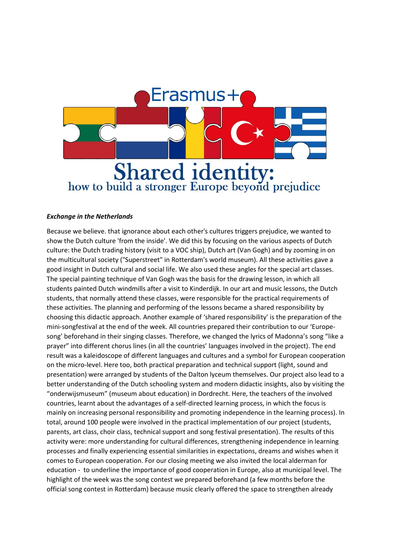

## *Exchange in the Netherlands*

Because we believe. that ignorance about each other's cultures triggers prejudice, we wanted to show the Dutch culture 'from the inside'. We did this by focusing on the various aspects of Dutch culture: the Dutch trading history (visit to a VOC ship), Dutch art (Van Gogh) and by zooming in on the multicultural society ("Superstreet" in Rotterdam's world museum). All these activities gave a good insight in Dutch cultural and social life. We also used these angles for the special art classes. The special painting technique of Van Gogh was the basis for the drawing lesson, in which all students painted Dutch windmills after a visit to Kinderdijk. In our art and music lessons, the Dutch students, that normally attend these classes, were responsible for the practical requirements of these activities. The planning and performing of the lessons became a shared responsibility by choosing this didactic approach. Another example of 'shared responsibility' is the preparation of the mini-songfestival at the end of the week. All countries prepared their contribution to our 'Europesong' beforehand in their singing classes. Therefore, we changed the lyrics of Madonna's song "like a prayer" into different chorus lines (in all the countries' languages involved in the project). The end result was a kaleidoscope of different languages and cultures and a symbol for European cooperation on the micro-level. Here too, both practical preparation and technical support (light, sound and presentation) were arranged by students of the Dalton lyceum themselves. Our project also lead to a better understanding of the Dutch schooling system and modern didactic insights, also by visiting the "onderwijsmuseum" (museum about education) in Dordrecht. Here, the teachers of the involved countries, learnt about the advantages of a self-directed learning process, in which the focus is mainly on increasing personal responsibility and promoting independence in the learning process). In total, around 100 people were involved in the practical implementation of our project (students, parents, art class, choir class, technical support and song festival presentation). The results of this activity were: more understanding for cultural differences, strengthening independence in learning processes and finally experiencing essential similarities in expectations, dreams and wishes when it comes to European cooperation. For our closing meeting we also invited the local alderman for education - to underline the importance of good cooperation in Europe, also at municipal level. The highlight of the week was the song contest we prepared beforehand (a few months before the official song contest in Rotterdam) because music clearly offered the space to strengthen already